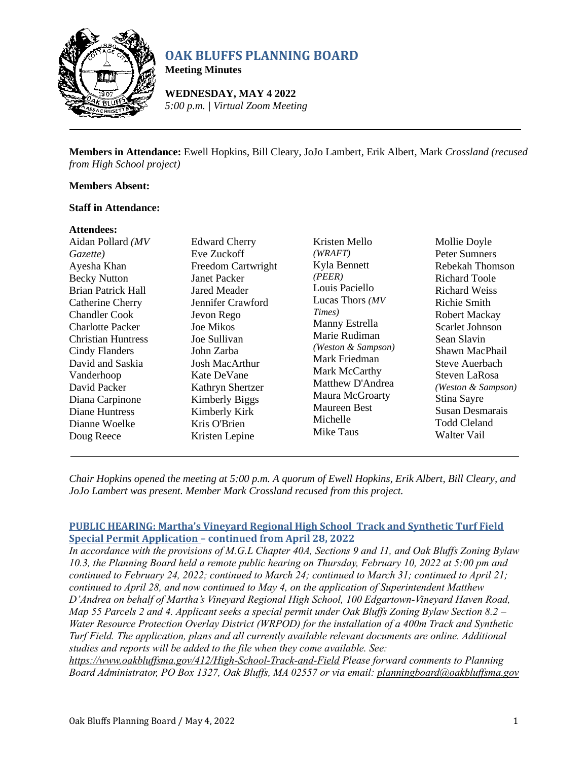

# **OAK BLUFFS PLANNING BOARD**

**Meeting Minutes**

**WEDNESDAY, MAY 4 2022** *5:00 p.m. | Virtual Zoom Meeting*

**Members in Attendance:** Ewell Hopkins, Bill Cleary, JoJo Lambert, Erik Albert, Mark *Crossland (recused from High School project)*

## **Members Absent:**

### **Staff in Attendance:**

#### **Attendees:**

| Aidan Pollard (MV                                                                                                                                                                                                                                       | <b>Edward Cherry</b>                                                                                                                                                                                             | Kristen Mello                                                                                                                                                                                                     | Mollie Doyle                                                                                                                                                                                                                |
|---------------------------------------------------------------------------------------------------------------------------------------------------------------------------------------------------------------------------------------------------------|------------------------------------------------------------------------------------------------------------------------------------------------------------------------------------------------------------------|-------------------------------------------------------------------------------------------------------------------------------------------------------------------------------------------------------------------|-----------------------------------------------------------------------------------------------------------------------------------------------------------------------------------------------------------------------------|
| Gazette)                                                                                                                                                                                                                                                | Eve Zuckoff                                                                                                                                                                                                      | (WRAFT)                                                                                                                                                                                                           | Peter Sumners                                                                                                                                                                                                               |
| Ayesha Khan<br><b>Becky Nutton</b>                                                                                                                                                                                                                      | Freedom Cartwright<br>Janet Packer                                                                                                                                                                               | Kyla Bennett<br>(PEER)                                                                                                                                                                                            | Rebekah Thomson<br>Richard Toole                                                                                                                                                                                            |
| <b>Brian Patrick Hall</b><br>Catherine Cherry<br><b>Chandler Cook</b><br><b>Charlotte Packer</b><br><b>Christian Huntress</b><br>Cindy Flanders<br>David and Saskia<br>Vanderhoop<br>David Packer<br>Diana Carpinone<br>Diane Huntress<br>Dianne Woelke | <b>Jared Meader</b><br>Jennifer Crawford<br>Jevon Rego<br><b>Joe Mikos</b><br>Joe Sullivan<br>John Zarba<br>Josh MacArthur<br>Kate DeVane<br>Kathryn Shertzer<br>Kimberly Biggs<br>Kimberly Kirk<br>Kris O'Brien | Louis Paciello<br>Lucas Thors (MV)<br>Times)<br>Manny Estrella<br>Marie Rudiman<br>(Weston & Sampson)<br>Mark Friedman<br>Mark McCarthy<br>Matthew D'Andrea<br>Maura McGroarty<br><b>Maureen Best</b><br>Michelle | <b>Richard Weiss</b><br>Richie Smith<br>Robert Mackay<br>Scarlet Johnson<br>Sean Slavin<br>Shawn MacPhail<br>Steve Auerbach<br>Steven LaRosa<br>(Weston & Sampson)<br>Stina Sayre<br>Susan Desmarais<br><b>Todd Cleland</b> |
| Doug Reece                                                                                                                                                                                                                                              | Kristen Lepine                                                                                                                                                                                                   | Mike Taus                                                                                                                                                                                                         | Walter Vail                                                                                                                                                                                                                 |
|                                                                                                                                                                                                                                                         |                                                                                                                                                                                                                  |                                                                                                                                                                                                                   |                                                                                                                                                                                                                             |

*Chair Hopkins opened the meeting at 5:00 p.m. A quorum of Ewell Hopkins, Erik Albert, Bill Cleary, and JoJo Lambert was present. Member Mark Crossland recused from this project.*

# **PUBLIC HEARING: Martha's Vineyard Regional High School Track and Synthetic Turf Field Special Permit Application – continued from April 28, 2022**

*In accordance with the provisions of M.G.L Chapter 40A, Sections 9 and 11, and Oak Bluffs Zoning Bylaw 10.3, the Planning Board held a remote public hearing on Thursday, February 10, 2022 at 5:00 pm and continued to February 24, 2022; continued to March 24; continued to March 31; continued to April 21; continued to April 28, and now continued to May 4, on the application of Superintendent Matthew D'Andrea on behalf of Martha's Vineyard Regional High School, 100 Edgartown-Vineyard Haven Road, Map 55 Parcels 2 and 4. Applicant seeks a special permit under Oak Bluffs Zoning Bylaw Section 8.2 – Water Resource Protection Overlay District (WRPOD) for the installation of a 400m Track and Synthetic Turf Field. The application, plans and all currently available relevant documents are online. Additional studies and reports will be added to the file when they come available. See:* 

*<https://www.oakbluffsma.gov/412/High-School-Track-and-Field> Please forward comments to Planning Board Administrator, PO Box 1327, Oak Bluffs, MA 02557 or via email: [planningboard@oakbluffsma.gov](mailto:planningboard@oakbluffsma.gov)*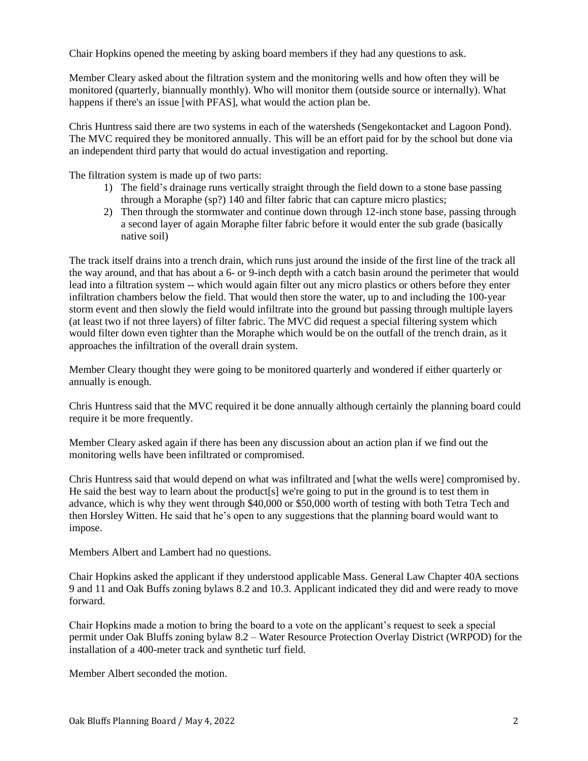Chair Hopkins opened the meeting by asking board members if they had any questions to ask.

Member Cleary asked about the filtration system and the monitoring wells and how often they will be monitored (quarterly, biannually monthly). Who will monitor them (outside source or internally). What happens if there's an issue [with PFAS], what would the action plan be.

Chris Huntress said there are two systems in each of the watersheds (Sengekontacket and Lagoon Pond). The MVC required they be monitored annually. This will be an effort paid for by the school but done via an independent third party that would do actual investigation and reporting.

The filtration system is made up of two parts:

- 1) The field's drainage runs vertically straight through the field down to a stone base passing through a Moraphe (sp?) 140 and filter fabric that can capture micro plastics;
- 2) Then through the stormwater and continue down through 12-inch stone base, passing through a second layer of again Moraphe filter fabric before it would enter the sub grade (basically native soil)

The track itself drains into a trench drain, which runs just around the inside of the first line of the track all the way around, and that has about a 6- or 9-inch depth with a catch basin around the perimeter that would lead into a filtration system -- which would again filter out any micro plastics or others before they enter infiltration chambers below the field. That would then store the water, up to and including the 100-year storm event and then slowly the field would infiltrate into the ground but passing through multiple layers (at least two if not three layers) of filter fabric. The MVC did request a special filtering system which would filter down even tighter than the Moraphe which would be on the outfall of the trench drain, as it approaches the infiltration of the overall drain system.

Member Cleary thought they were going to be monitored quarterly and wondered if either quarterly or annually is enough.

Chris Huntress said that the MVC required it be done annually although certainly the planning board could require it be more frequently.

Member Cleary asked again if there has been any discussion about an action plan if we find out the monitoring wells have been infiltrated or compromised.

Chris Huntress said that would depend on what was infiltrated and [what the wells were] compromised by. He said the best way to learn about the product[s] we're going to put in the ground is to test them in advance, which is why they went through \$40,000 or \$50,000 worth of testing with both Tetra Tech and then Horsley Witten. He said that he's open to any suggestions that the planning board would want to impose.

Members Albert and Lambert had no questions.

Chair Hopkins asked the applicant if they understood applicable Mass. General Law Chapter 40A sections 9 and 11 and Oak Buffs zoning bylaws 8.2 and 10.3. Applicant indicated they did and were ready to move forward.

Chair Hopkins made a motion to bring the board to a vote on the applicant's request to seek a special permit under Oak Bluffs zoning bylaw 8.2 – Water Resource Protection Overlay District (WRPOD) for the installation of a 400-meter track and synthetic turf field.

Member Albert seconded the motion.